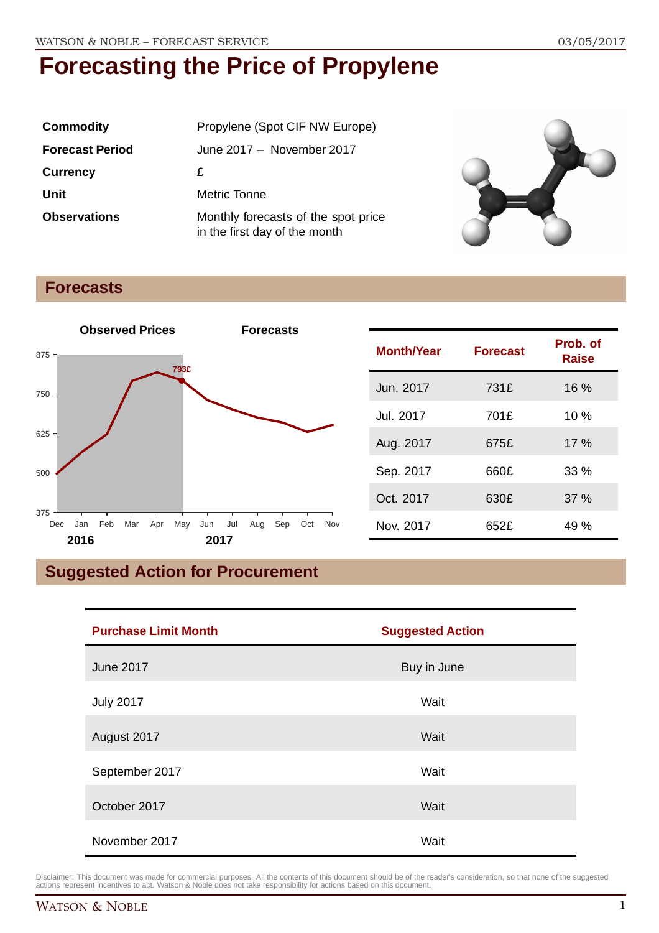| <b>Commodity</b>       | Propylene (Spot CIF NW Europe)                                       |
|------------------------|----------------------------------------------------------------------|
| <b>Forecast Period</b> | June 2017 - November 2017                                            |
| <b>Currency</b>        | £                                                                    |
| Unit                   | Metric Tonne                                                         |
| <b>Observations</b>    | Monthly forecasts of the spot price<br>in the first day of the month |



### **Forecasts**



| <b>Month/Year</b> | <b>Forecast</b> | Prob. of<br><b>Raise</b> |
|-------------------|-----------------|--------------------------|
| Jun. 2017         | 731£            | 16 %                     |
| Jul. 2017         | 701£            | 10%                      |
| Aug. 2017         | 675£            | 17%                      |
| Sep. 2017         | 660£            | 33%                      |
| Oct. 2017         | 630£            | 37%                      |
| Nov. 2017         | 652£            | 49 %                     |

## **Suggested Action for Procurement**

| <b>Purchase Limit Month</b> | <b>Suggested Action</b> |
|-----------------------------|-------------------------|
| <b>June 2017</b>            | Buy in June             |
| <b>July 2017</b>            | Wait                    |
| August 2017                 | Wait                    |
| September 2017              | Wait                    |
| October 2017                | Wait                    |
| November 2017               | Wait                    |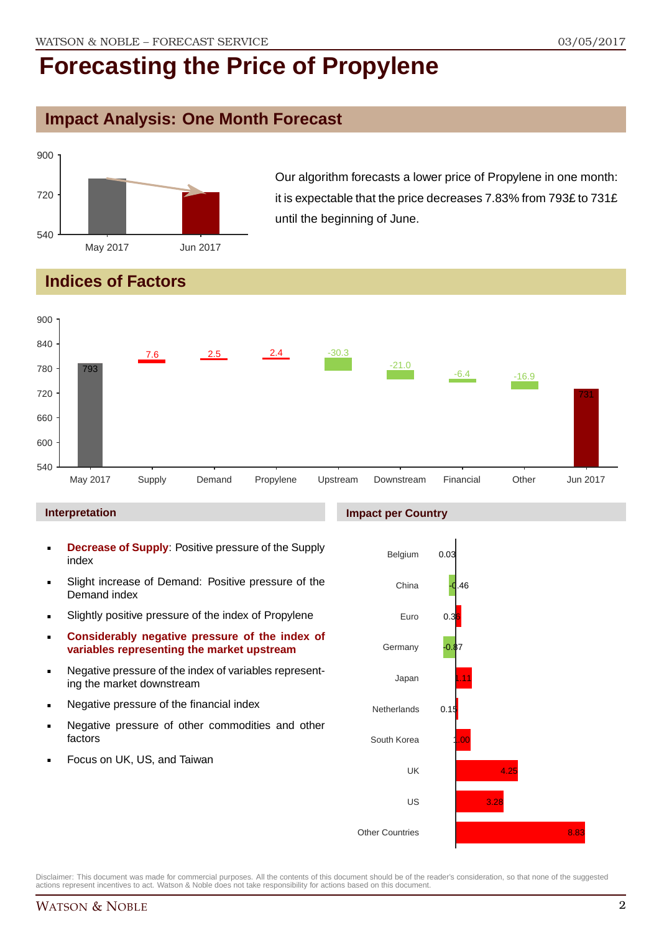## **Impact Analysis: One Month Forecast**



Our algorithm forecasts a lower price of Propylene in one month: it is expectable that the price decreases 7.83% from 793£ to 731£ until the beginning of June.

## **Indices of Factors**



#### **Interpretation**

- **Decrease of Supply**: Positive pressure of the Supply index
- Slight increase of Demand: Positive pressure of the Demand index
- **Slightly positive pressure of the index of Propylene**
- **Considerably negative pressure of the index of variables representing the market upstream**
- Negative pressure of the index of variables representing the market downstream
- **Negative pressure of the financial index**
- **Negative pressure of other commodities and other** factors
- Focus on UK, US, and Taiwan

#### **Impact per Country**

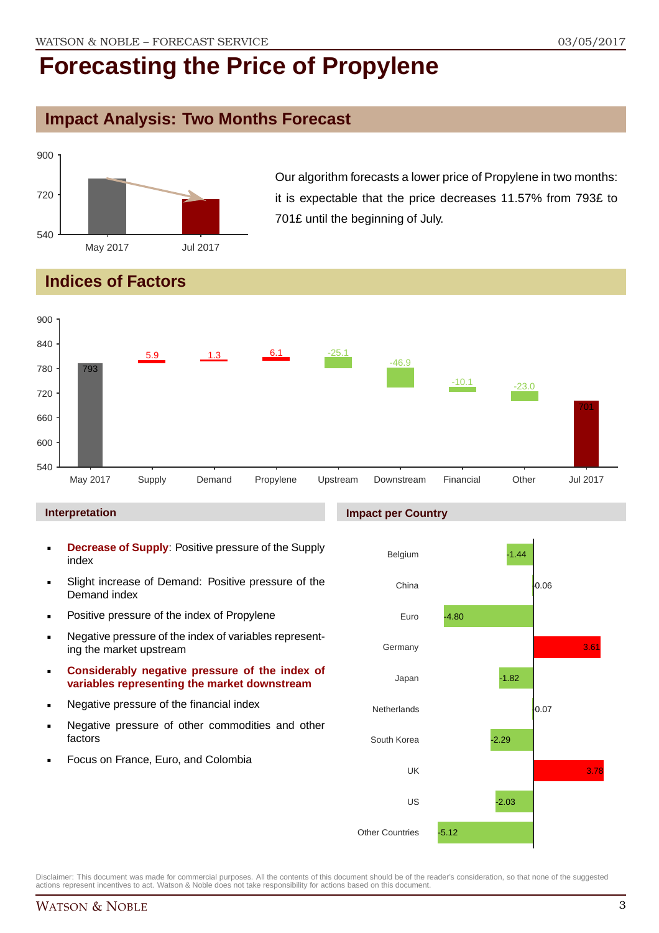## **Impact Analysis: Two Months Forecast**



Our algorithm forecasts a lower price of Propylene in two months: it is expectable that the price decreases 11.57% from 793£ to 701£ until the beginning of July.

## **Indices of Factors**



#### **Interpretation**

- **Decrease of Supply**: Positive pressure of the Supply index
- Slight increase of Demand: Positive pressure of the Demand index
- **Positive pressure of the index of Propylene**
- Negative pressure of the index of variables representing the market upstream
- **Considerably negative pressure of the index of variables representing the market downstream**
- **Negative pressure of the financial index**
- **Negative pressure of other commodities and other** factors
- Focus on France, Euro, and Colombia

#### **Impact per Country**

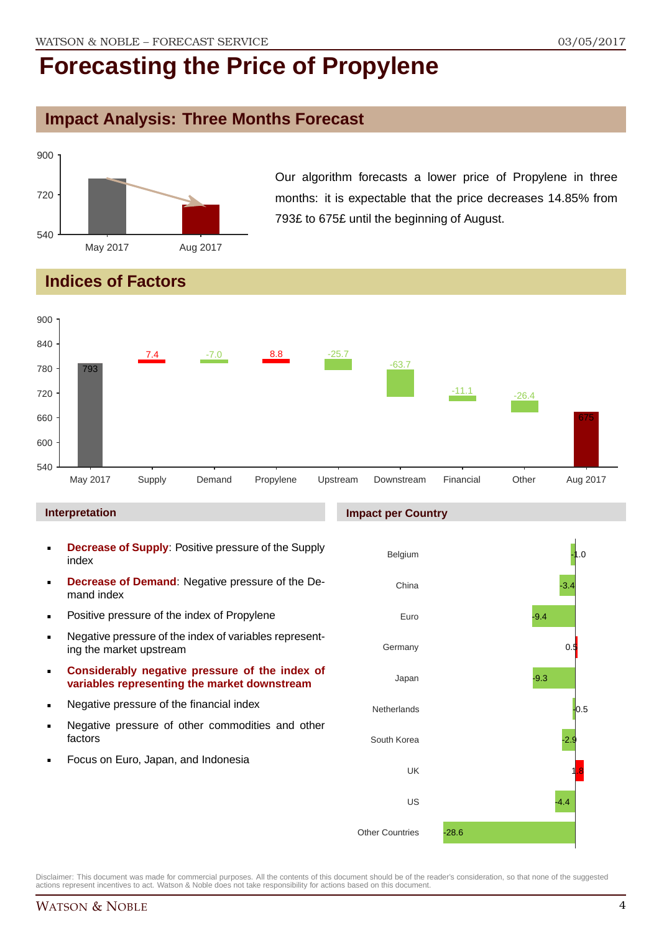### **Impact Analysis: Three Months Forecast**



Our algorithm forecasts a lower price of Propylene in three months: it is expectable that the price decreases 14.85% from 793£ to 675£ until the beginning of August.

## **Indices of Factors**



#### **Interpretation**

- **Decrease of Supply**: Positive pressure of the Supply index
- **Decrease of Demand**: Negative pressure of the Demand index
- **Positive pressure of the index of Propylene**
- Negative pressure of the index of variables representing the market upstream
- **Considerably negative pressure of the index of variables representing the market downstream**
- **Negative pressure of the financial index**
- **Negative pressure of other commodities and other** factors
- Focus on Euro, Japan, and Indonesia

#### **Impact per Country**

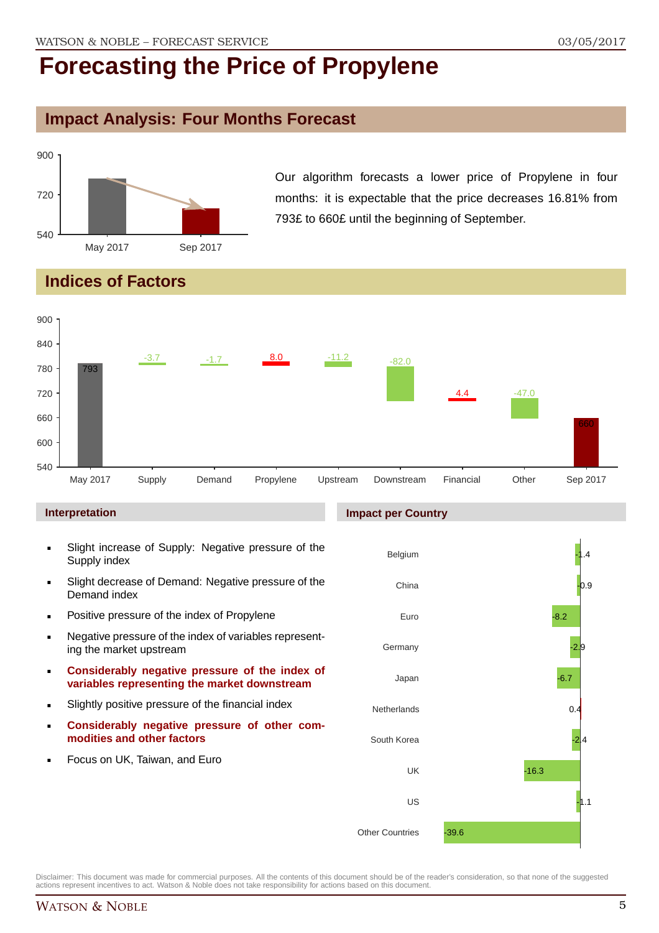## **Impact Analysis: Four Months Forecast**



Our algorithm forecasts a lower price of Propylene in four months: it is expectable that the price decreases 16.81% from 793£ to 660£ until the beginning of September.

## **Indices of Factors**



#### **Interpretation**

- Slight increase of Supply: Negative pressure of the Supply index
- Slight decrease of Demand: Negative pressure of the Demand index
- **Positive pressure of the index of Propylene**
- Negative pressure of the index of variables representing the market upstream
- **Considerably negative pressure of the index of variables representing the market downstream**
- Slightly positive pressure of the financial index
- **Considerably negative pressure of other commodities and other factors**
- Focus on UK, Taiwan, and Euro

#### **Impact per Country**

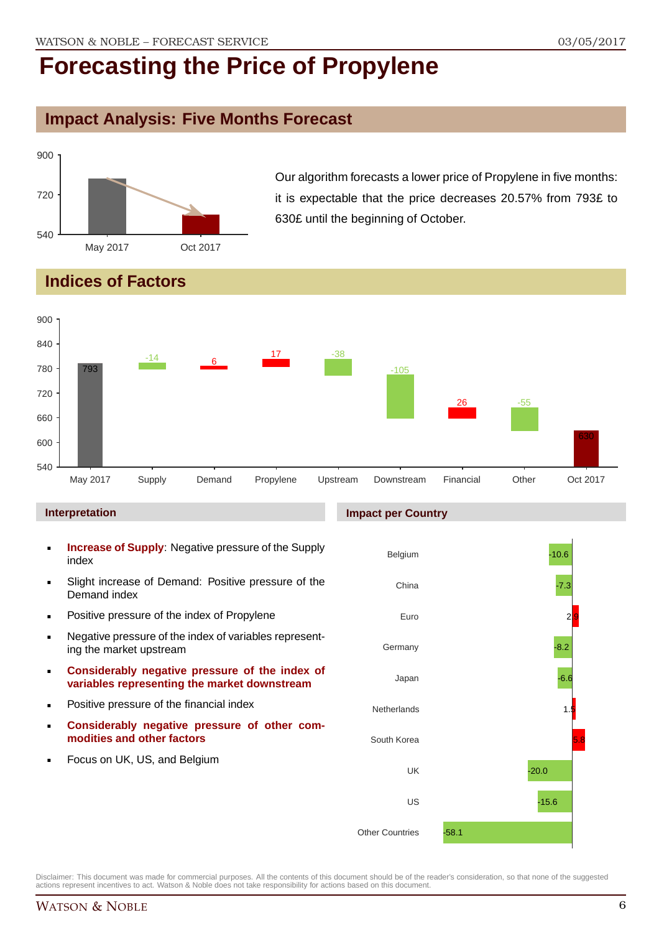## **Impact Analysis: Five Months Forecast**



Our algorithm forecasts a lower price of Propylene in five months: it is expectable that the price decreases 20.57% from 793£ to 630£ until the beginning of October.

## **Indices of Factors**



#### **Interpretation**

- **Increase of Supply**: Negative pressure of the Supply index
- Slight increase of Demand: Positive pressure of the Demand index
- **Positive pressure of the index of Propylene**
- Negative pressure of the index of variables representing the market upstream
- **Considerably negative pressure of the index of variables representing the market downstream**
- **•** Positive pressure of the financial index
- **Considerably negative pressure of other commodities and other factors**
- **Focus on UK, US, and Belgium**

#### **Impact per Country**

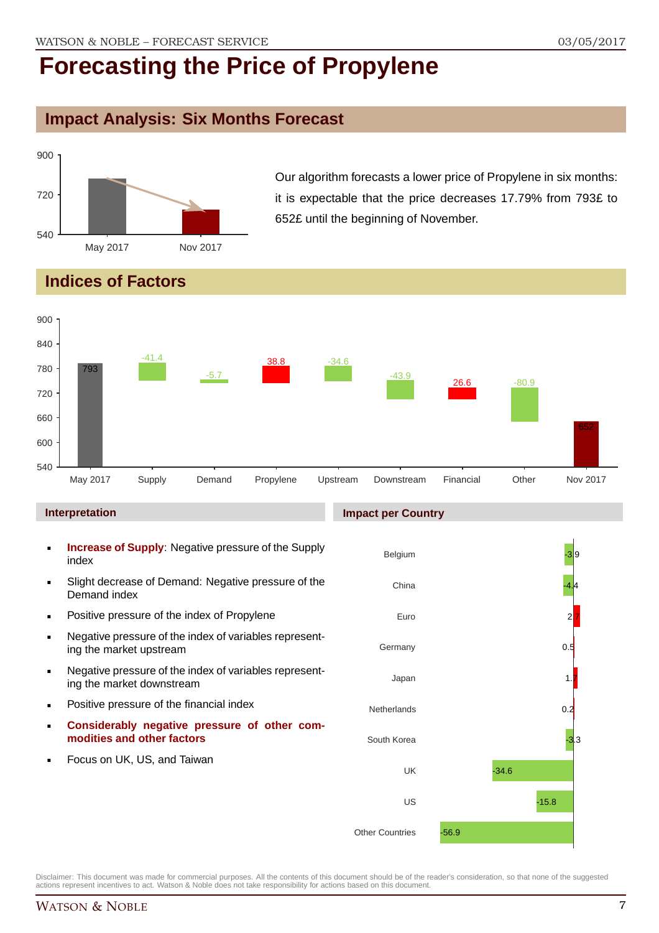## **Impact Analysis: Six Months Forecast**



Our algorithm forecasts a lower price of Propylene in six months: it is expectable that the price decreases 17.79% from 793£ to 652£ until the beginning of November.

## **Indices of Factors**



#### **Interpretation**

- **Increase of Supply**: Negative pressure of the Supply index
- Slight decrease of Demand: Negative pressure of the Demand index
- **Positive pressure of the index of Propylene**
- Negative pressure of the index of variables representing the market upstream
- Negative pressure of the index of variables representing the market downstream
- **•** Positive pressure of the financial index
- **Considerably negative pressure of other commodities and other factors**
- Focus on UK, US, and Taiwan

#### **Impact per Country**

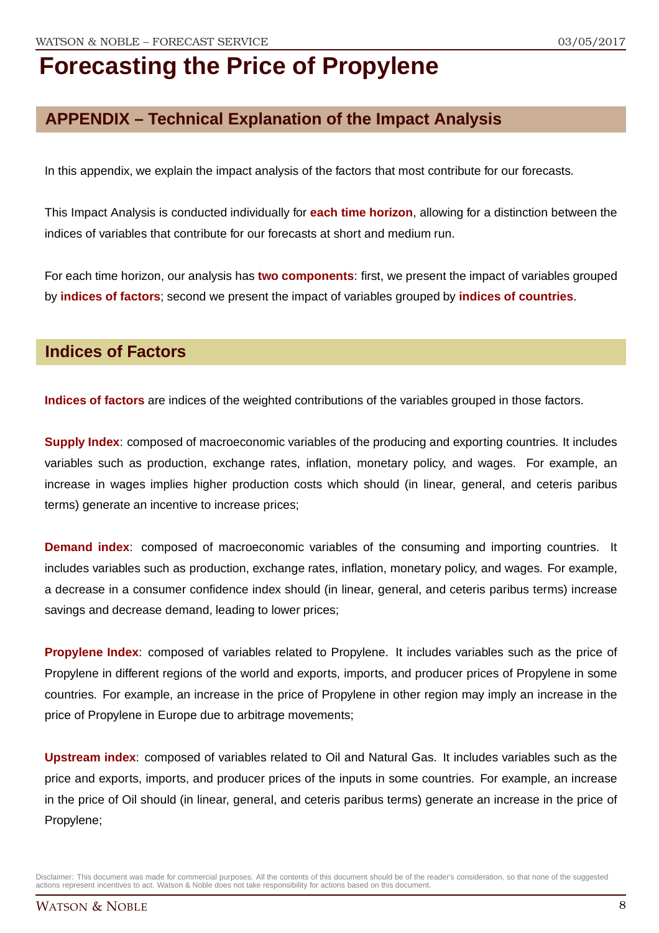## **APPENDIX – Technical Explanation of the Impact Analysis**

In this appendix, we explain the impact analysis of the factors that most contribute for our forecasts.

This Impact Analysis is conducted individually for **each time horizon**, allowing for a distinction between the indices of variables that contribute for our forecasts at short and medium run.

For each time horizon, our analysis has **two components**: first, we present the impact of variables grouped by **indices of factors**; second we present the impact of variables grouped by **indices of countries**.

### **Indices of Factors**

**Indices of factors** are indices of the weighted contributions of the variables grouped in those factors.

**Supply Index:** composed of macroeconomic variables of the producing and exporting countries. It includes variables such as production, exchange rates, inflation, monetary policy, and wages. For example, an increase in wages implies higher production costs which should (in linear, general, and ceteris paribus terms) generate an incentive to increase prices;

**Demand index**: composed of macroeconomic variables of the consuming and importing countries. It includes variables such as production, exchange rates, inflation, monetary policy, and wages. For example, a decrease in a consumer confidence index should (in linear, general, and ceteris paribus terms) increase savings and decrease demand, leading to lower prices;

**Propylene Index**: composed of variables related to Propylene. It includes variables such as the price of Propylene in different regions of the world and exports, imports, and producer prices of Propylene in some countries. For example, an increase in the price of Propylene in other region may imply an increase in the price of Propylene in Europe due to arbitrage movements;

**Upstream index**: composed of variables related to Oil and Natural Gas. It includes variables such as the price and exports, imports, and producer prices of the inputs in some countries. For example, an increase in the price of Oil should (in linear, general, and ceteris paribus terms) generate an increase in the price of Propylene;